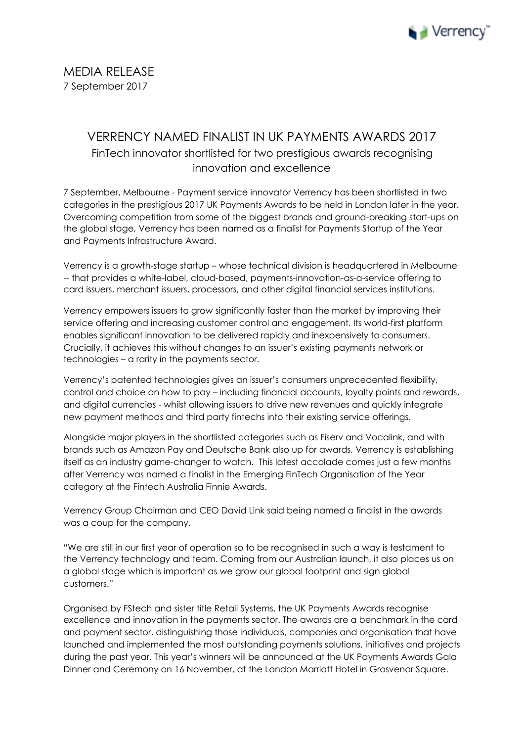

## VERRENCY NAMED FINALIST IN UK PAYMENTS AWARDS 2017 FinTech innovator shortlisted for two prestigious awards recognising innovation and excellence

7 September, Melbourne - Payment service innovator Verrency has been shortlisted in two categories in the prestigious 2017 UK Payments Awards to be held in London later in the year. Overcoming competition from some of the biggest brands and ground-breaking start-ups on the global stage, Verrency has been named as a finalist for Payments Startup of the Year and Payments Infrastructure Award.

Verrency is a growth-stage startup – whose technical division is headquartered in Melbourne -- that provides a white-label, cloud-based, payments-innovation-as-a-service offering to card issuers, merchant issuers, processors, and other digital financial services institutions.

Verrency empowers issuers to grow significantly faster than the market by improving their service offering and increasing customer control and engagement. Its world-first platform enables significant innovation to be delivered rapidly and inexpensively to consumers. Crucially, it achieves this without changes to an issuer's existing payments network or technologies – a rarity in the payments sector.

Verrency's patented technologies gives an issuer's consumers unprecedented flexibility, control and choice on how to pay – including financial accounts, loyalty points and rewards, and digital currencies - whilst allowing issuers to drive new revenues and quickly integrate new payment methods and third party fintechs into their existing service offerings.

Alongside major players in the shortlisted categories such as Fiserv and Vocalink, and with brands such as Amazon Pay and Deutsche Bank also up for awards, Verrency is establishing itself as an industry game-changer to watch. This latest accolade comes just a few months after Verrency was named a finalist in the Emerging FinTech Organisation of the Year category at the Fintech Australia Finnie Awards.

Verrency Group Chairman and CEO David Link said being named a finalist in the awards was a coup for the company.

"We are still in our first year of operation so to be recognised in such a way is testament to the Verrency technology and team. Coming from our Australian launch, it also places us on a global stage which is important as we grow our global footprint and sign global customers."

Organised by FStech and sister title Retail Systems, the UK Payments Awards recognise excellence and innovation in the payments sector. The awards are a benchmark in the card and payment sector, distinguishing those individuals, companies and organisation that have launched and implemented the most outstanding payments solutions, initiatives and projects during the past year. This year's winners will be announced at the UK Payments Awards Gala Dinner and Ceremony on 16 November, at the London Marriott Hotel in Grosvenor Square.